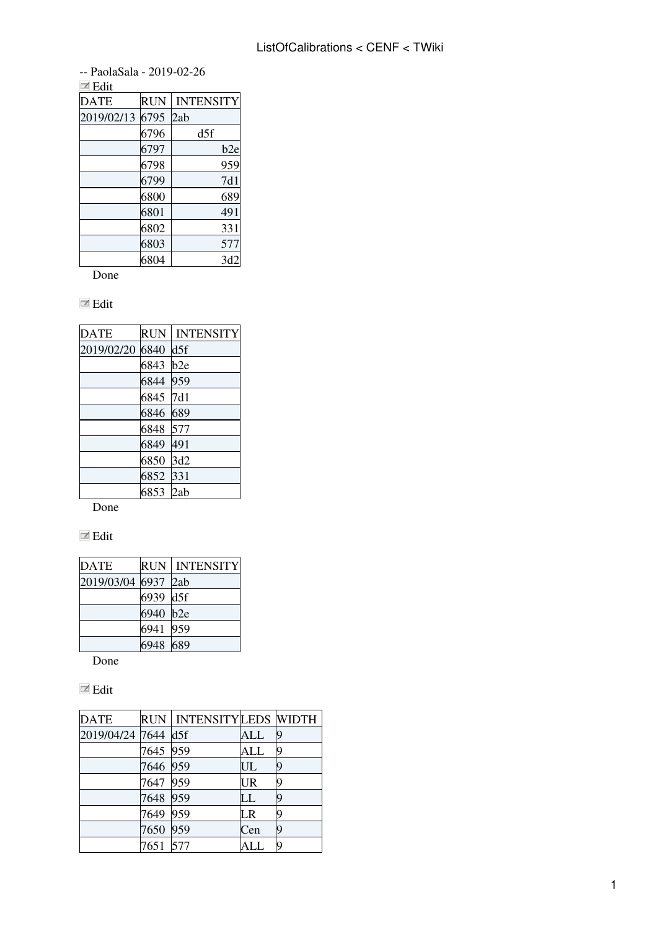-- [PaolaSala](https://twiki.cern.ch/twiki/bin/edit/Main/PaolaSala?topicparent=CENF.ListOfCalibrations;nowysiwyg=1) - 2019-02-26

| $\blacksquare$ Edit |            |                  |
|---------------------|------------|------------------|
| <b>DATE</b>         | <b>RUN</b> | <b>INTENSITY</b> |
| 2019/02/13          | 6795       | 2ab              |
|                     | 6796       | d5f              |
|                     | 6797       | b2e              |
|                     | 6798       | 959              |
|                     | 6799       | 7d1              |
|                     | 6800       | 689              |
|                     | 6801       | 491              |
|                     | 6802       | 331              |
|                     | 6803       | 577              |
|                     | 6804       | 3d2              |

Done

## Edit

| <b>DATE</b> | <b>RUN</b> | <b>INTENSITY</b> |
|-------------|------------|------------------|
| 2019/02/20  | 6840       | d5f              |
|             | 6843       | b2e              |
|             | 6844       | 959              |
|             | 6845       | 7d1              |
|             | 6846       | 689              |
|             | 6848       | 577              |
|             | 6849       | 491              |
|             | 6850       | 3d2              |
|             | 6852       | 331              |
|             | 6853       | 2ab              |

Done

## $\blacksquare$  Edit

| <b>DATE</b>     |          | <b>RUN   INTENSITY</b> |
|-----------------|----------|------------------------|
| 2019/03/04 6937 |          | 2ab                    |
|                 | 6939     | d5f                    |
|                 | 6940 b2e |                        |
|                 | 6941     | 959                    |
|                 | 6948 689 |                        |

Done

## $\mathbb Z$  Edit

| <b>DATE</b>         |          | RUN   INTENSITYLEDS  WIDTH |           |   |
|---------------------|----------|----------------------------|-----------|---|
| 2019/04/24 7644 d5f |          |                            | ALL       | 9 |
|                     | 7645 959 |                            | ALL       | q |
|                     | 7646 959 |                            | UL        | q |
|                     | 7647 959 |                            | <b>UR</b> |   |
|                     | 7648 959 |                            | LL        |   |
|                     | 7649     | 959                        | LR        |   |
|                     | 7650     | 959                        | Cen       |   |
|                     | 7651 577 |                            | ALL       |   |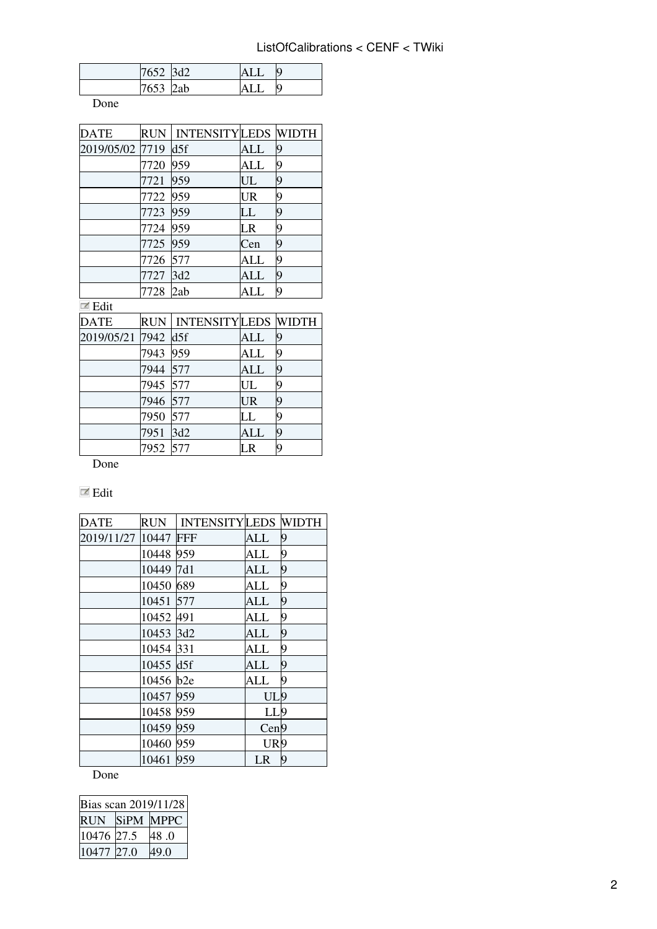| 7652 | 2d2 |  |
|------|-----|--|
| 7653 | 2ab |  |

Done

| DATE            |          | RUN   INTENSITY LEDS  WIDTH |                        |   |
|-----------------|----------|-----------------------------|------------------------|---|
| 2019/05/02 7719 |          | d5f                         | ALL                    | 9 |
|                 | 7720     | 959                         | ALL                    |   |
|                 | 7721     | 959                         | UL                     | 9 |
|                 | 7722 959 |                             | <b>UR</b>              | 0 |
|                 | 7723     | 959                         | LL                     | 9 |
|                 | 7724     | 959                         | $\overline{\text{LR}}$ | 9 |
|                 | 7725 959 |                             | Cen                    | 9 |
|                 | 7726     | 577                         | ALL                    | 9 |
|                 | 7727     | 3d2                         | ALL                    | 9 |
|                 | 7728     | 2ab                         | ALL                    |   |

**E**dit

| DATE                |          | RUN   INTENSITYLEDS  WIDTH |            |    |
|---------------------|----------|----------------------------|------------|----|
| 2019/05/21 7942 d5f |          |                            | ALL        | 9  |
|                     | 7943 959 |                            | ALL        | 19 |
|                     | 7944 577 |                            | <b>ALL</b> |    |
|                     | 7945 577 |                            | UL         |    |
|                     | 7946 577 |                            | <b>UR</b>  |    |
|                     | 7950 577 |                            | LL         |    |
|                     | 7951     | 3d2                        | ALL        |    |
|                     | 7952 577 |                            | LR         |    |

Done

## $\blacksquare$  <br> Edit

| <b>DATE</b> | <b>RUN</b> | <b>INTENSITYLEDS WIDTH</b> |                 |   |
|-------------|------------|----------------------------|-----------------|---|
| 2019/11/27  | 10447      | <b>FFF</b>                 | ALL             | 9 |
|             | 10448      | 959                        | ALL             | 9 |
|             | 10449      | 7d1                        | ALL             | 9 |
|             | 10450 689  |                            | ALL             | 9 |
|             | 10451      | 577                        | ALL             | 9 |
|             | 10452 491  |                            | ALL             | 9 |
|             | 10453 3d2  |                            | ALL             | 9 |
|             | 10454 331  |                            | <b>ALL</b>      | 9 |
|             | 10455 d5f  |                            | ALL             | 9 |
|             | 10456 b2e  |                            | ALL             | 9 |
|             | 10457 959  |                            | UL9             |   |
|             | 10458 959  |                            | LL9             |   |
|             | 10459 959  |                            | Cen9            |   |
|             | 10460      | 959                        | UR <sub>9</sub> |   |
|             | 10461      | 959                        | LR              | 9 |

Done

| Bias scan 2019/11/28 |           |      |  |
|----------------------|-----------|------|--|
| <b>RUN</b>           | SiPM MPPC |      |  |
| 10476 27.5           |           | 48.0 |  |
| 10477 27.0           |           | 49.0 |  |